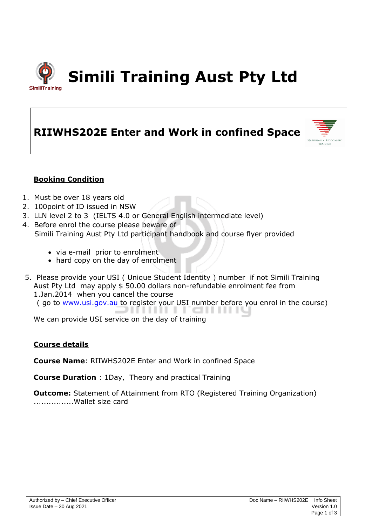

**Simili Training Aust Pty Ltd**

# **RIIWHS202E Enter and Work in confined Space**



# **Booking Condition**

- 1. Must be over 18 years old
- 2. 100point of ID issued in NSW
- 3. LLN level 2 to 3 (IELTS 4.0 or General English intermediate level)
- 4. Before enrol the course please beware of Simili Training Aust Pty Ltd participant handbook and course flyer provided
	- via e-mail prior to enrolment
	- hard copy on the day of enrolment
- 5. Please provide your USI ( Unique Student Identity ) number if not Simili Training Aust Pty Ltd may apply \$ 50.00 dollars non-refundable enrolment fee from 1.Jan.2014 when you cancel the course

( go to [www.usi.gov.au](http://www.usi.gov.au/) to register your USI number before you enrol in the course)

We can provide USI service on the day of training

## **Course details**

**Course Name**: RIIWHS202E Enter and Work in confined Space

**Course Duration** : 1Day, Theory and practical Training

**Outcome:** Statement of Attainment from RTO (Registered Training Organization) ................Wallet size card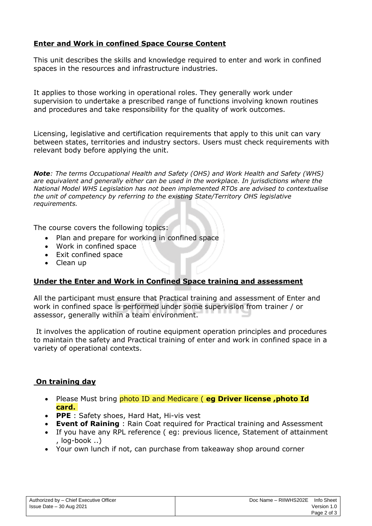### **Enter and Work in confined Space Course Content**

This unit describes the skills and knowledge required to enter and work in confined spaces in the resources and infrastructure industries.

It applies to those working in operational roles. They generally work under supervision to undertake a prescribed range of functions involving known routines and procedures and take responsibility for the quality of work outcomes.

Licensing, legislative and certification requirements that apply to this unit can vary between states, territories and industry sectors. Users must check requirements with relevant body before applying the unit.

*Note: The terms Occupational Health and Safety (OHS) and Work Health and Safety (WHS) are equivalent and generally either can be used in the workplace. In jurisdictions where the National Model WHS Legislation has not been implemented RTOs are advised to contextualise the unit of competency by referring to the existing State/Territory OHS legislative requirements.*

The course covers the following topics:

- Plan and prepare for working in confined space
- Work in confined space
- Exit confined space
- Clean up

#### **Under the Enter and Work in Confined Space training and assessment**

All the participant must ensure that Practical training and assessment of Enter and work in confined space is performed under some supervision from trainer / or assessor, generally within a team environment.

It involves the application of routine equipment operation principles and procedures to maintain the safety and Practical training of enter and work in confined space in a variety of operational contexts.

#### **On training day**

- Please Must bring photo ID and Medicare ( **eg Driver license ,photo Id card.**
- **PPE** : Safety shoes, Hard Hat, Hi-vis vest
- **Event of Raining** : Rain Coat required for Practical training and Assessment
- If you have any RPL reference ( eg: previous licence, Statement of attainment , log-book ..)
- Your own lunch if not, can purchase from takeaway shop around corner